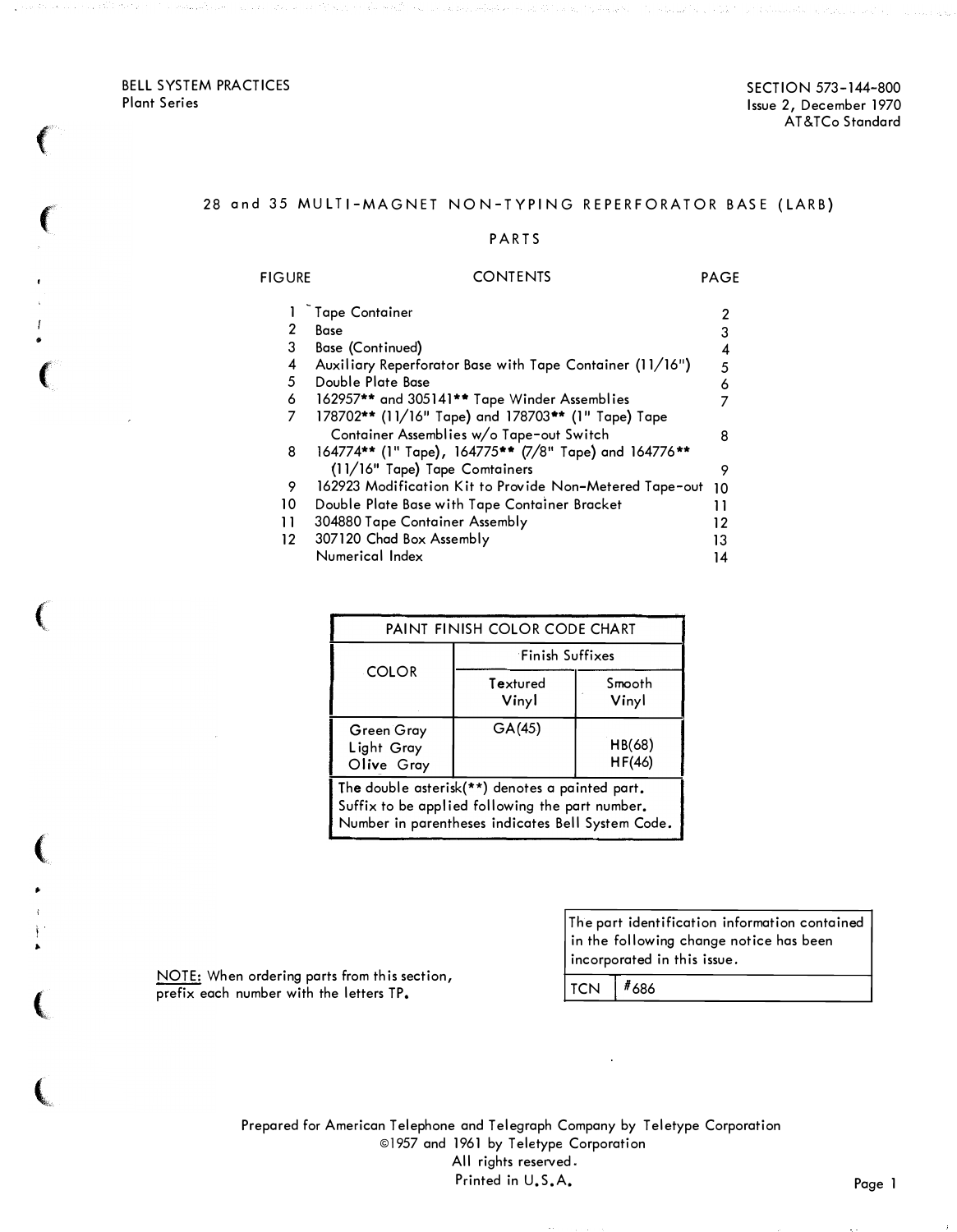BELL SYSTEM PRACTICES Plant Series

,.

**CONTRACTOR** 

,.

i ,. SECTION 573-144-800 Issue 2, December 1970 AT&TCo Standard

## 28 and 35 MULTI-MAGNET NON-TYPING REPERFORATOR BASE (LARB)

#### P ARTS

## FIGURE CONTENTS PAGE - 1 Tape Container 2 2 Base 3 3 Base {Continued) 4 4 Auxiliary Reperforator Base with Tape Container (11/16") 5 5 Double Plate Base 6 6 162957\*\* and 305141\*\* Tape Winder Assemblies 7<br>7 178702\*\* (11/16" Tape) and 178703\*\* (1" Tape) Tape 7 178702\*\* (11/16" Tape) and 178703\*\* {1" Tape) Tape Container Assemblies w/o Tape-out Switch 8 8 164774\*\* (1" Tape), 164775\*\* {7/8" Tape) and 164776\*\* (11/16" Tape) Tape Comtainers 9 9 162923 Modification Kit to Provide Non-Metered Tape-out 10 10 Double Plate Base with Tape Container Bracket 11 11 304880 Tape Container Assembly 12 12 307120 Chad Box Assembly 13 Numerical Index 14

| PAINT FINISH COLOR CODE CHART                                                                                                                           |                   |                  |  |  |  |
|---------------------------------------------------------------------------------------------------------------------------------------------------------|-------------------|------------------|--|--|--|
|                                                                                                                                                         | Finish Suffixes   |                  |  |  |  |
| <b>COLOR</b>                                                                                                                                            | Textured<br>Vinyl | Smooth<br>Vinyl  |  |  |  |
| Green Gray<br>Light Gray<br>Olive Gray                                                                                                                  | GA(45)            | HB(68)<br>HF(46) |  |  |  |
| The double asterisk(**) denotes a painted part.<br>Suffix to be applied following the part number.<br>Number in parentheses indicates Bell System Code. |                   |                  |  |  |  |

NOTE: When ordering parts from this section, prefix each number with the letters  $TP<sub>n</sub>$  TCN  $#686$ 

The part identification information contained in the following change notice has been incorporated in this issue.

Prepared for American Telephone and Telegraph Company by Teletype Corporation ©1957 and 1961 by Teletype Corporation All rights reserved. Printed in U.S.A. Page 1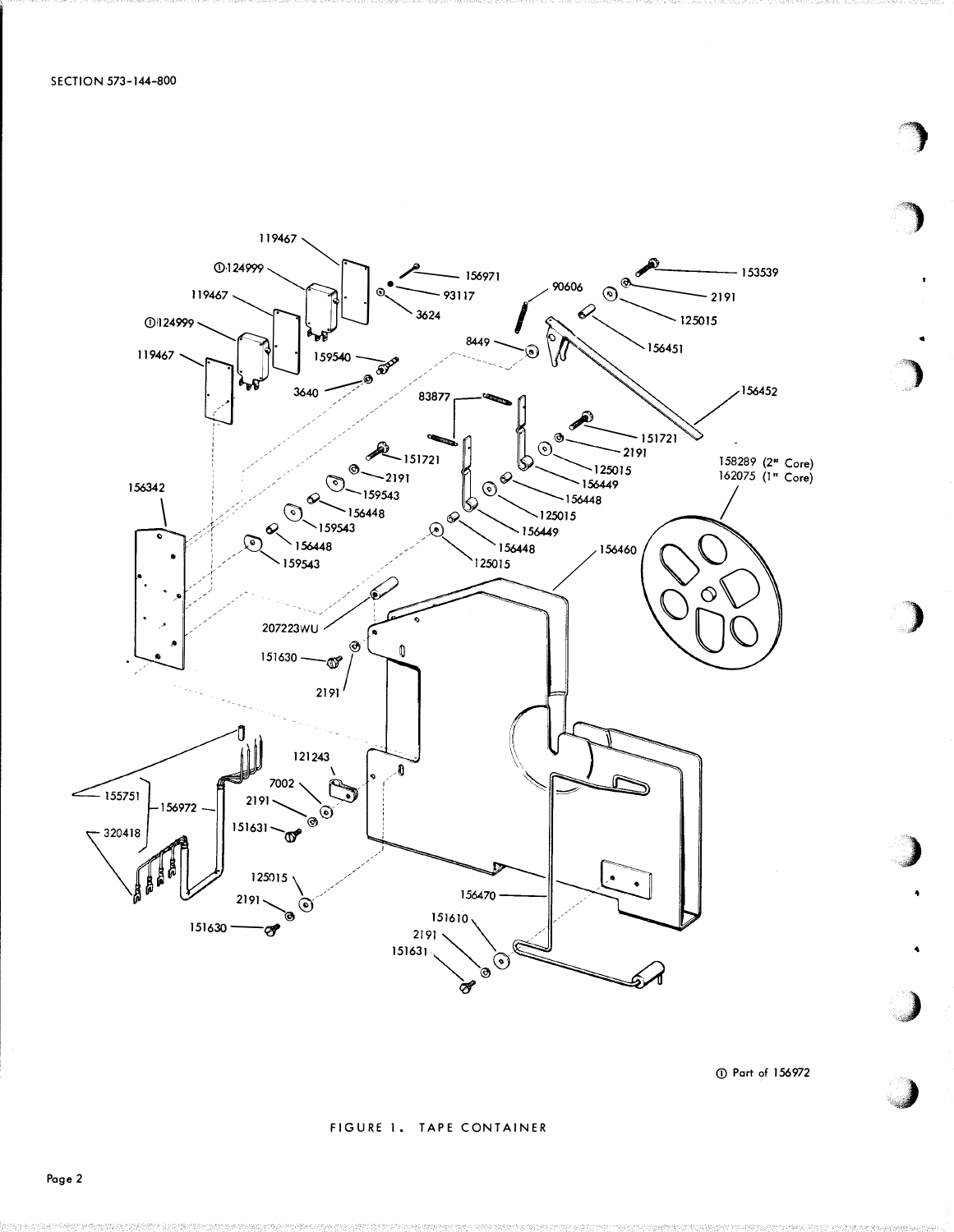

156972

### FIGURE 1. TAPE CONTAINER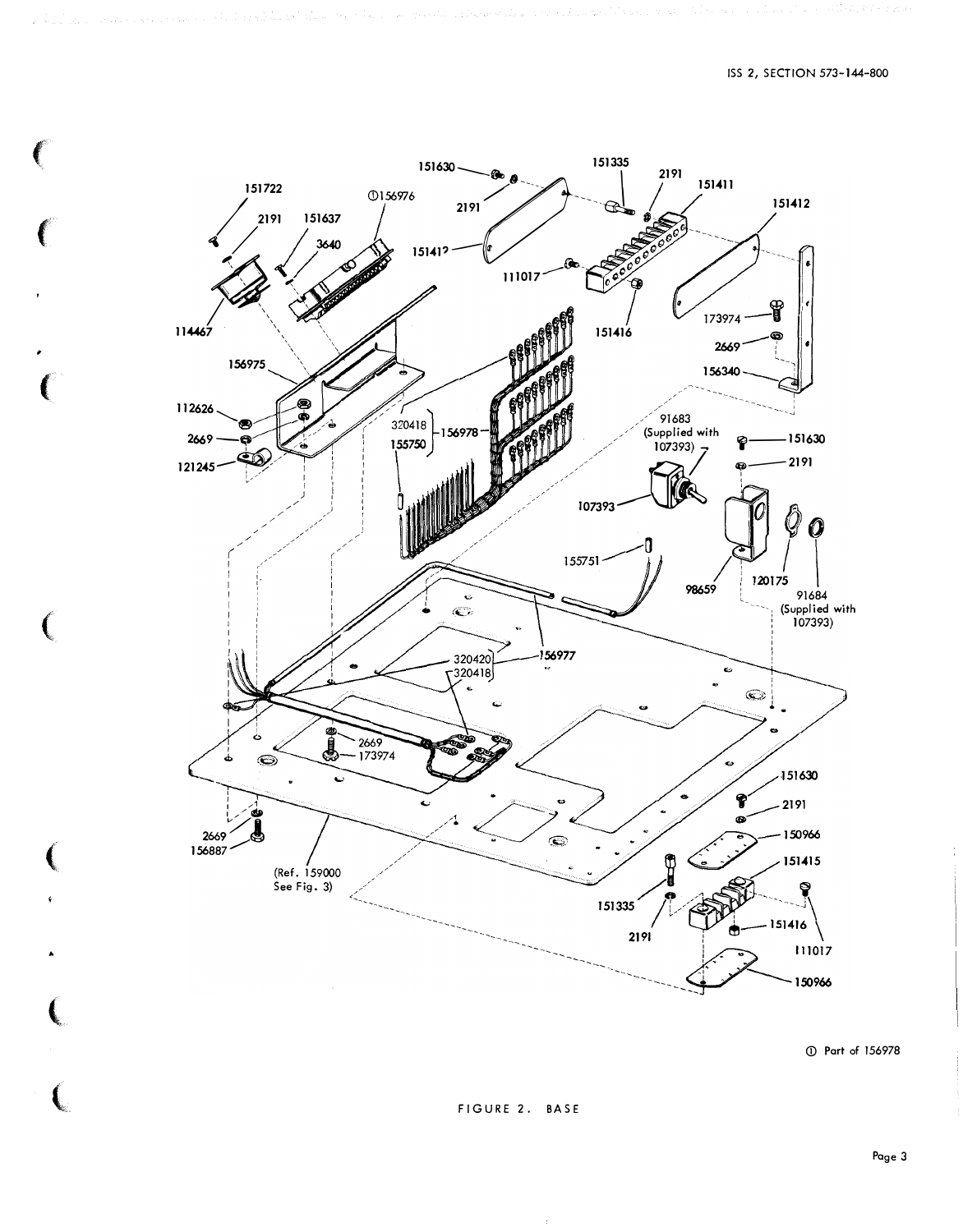

 $\left($ 

156978

FIGURE 2. BASE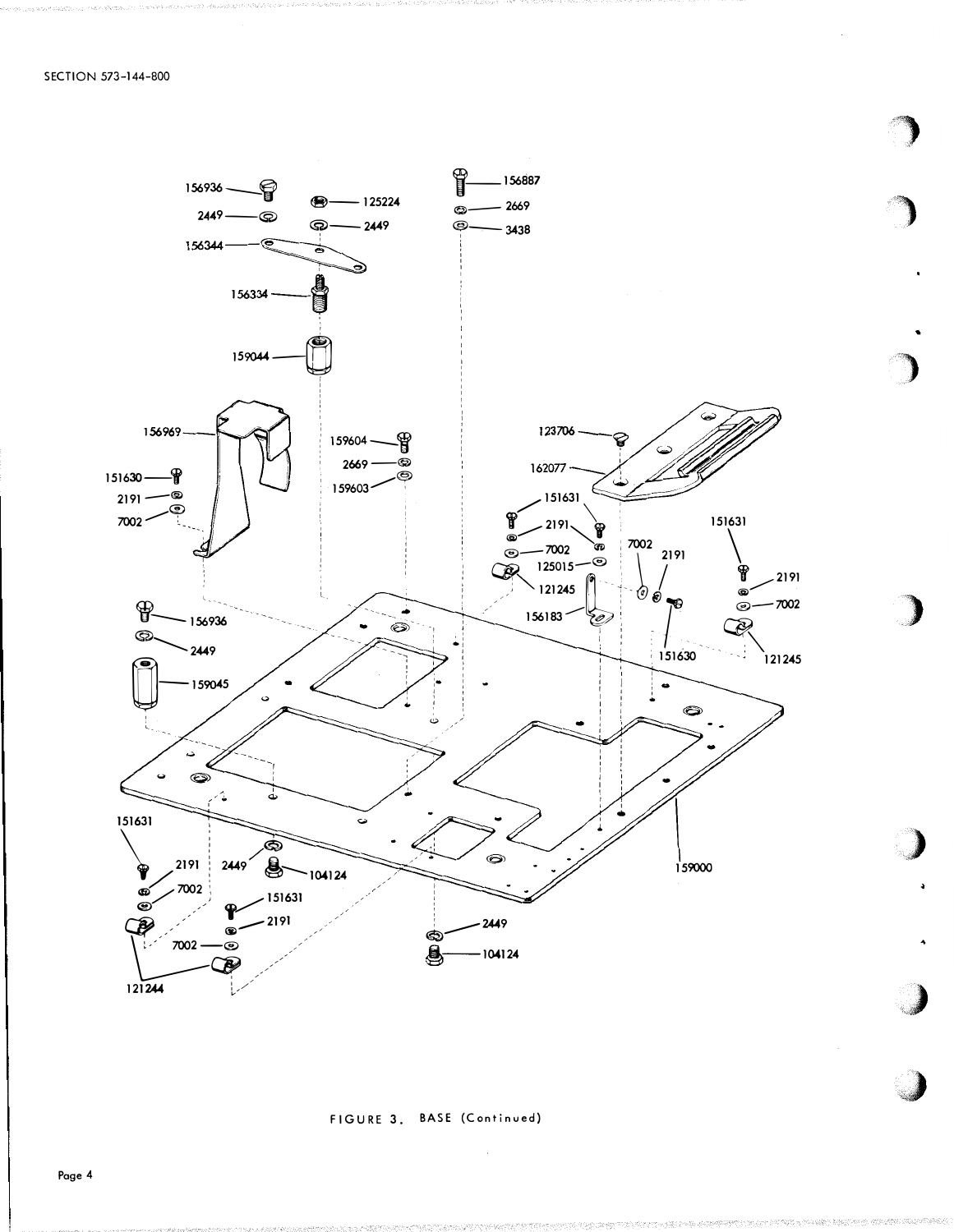

)

..

"" WASHINGTON TO THE TANK OF THE TANK OF THE TANK OF THE TANK OF THE TANK OF THE TANK OF THE TANK OF THE TANK OF THE TANK OF THE TANK OF THE TANK OF THE TANK OF THE TANK OF THE TANK OF THE TANK OF THE TANK OF THE TANK OF T



Page 4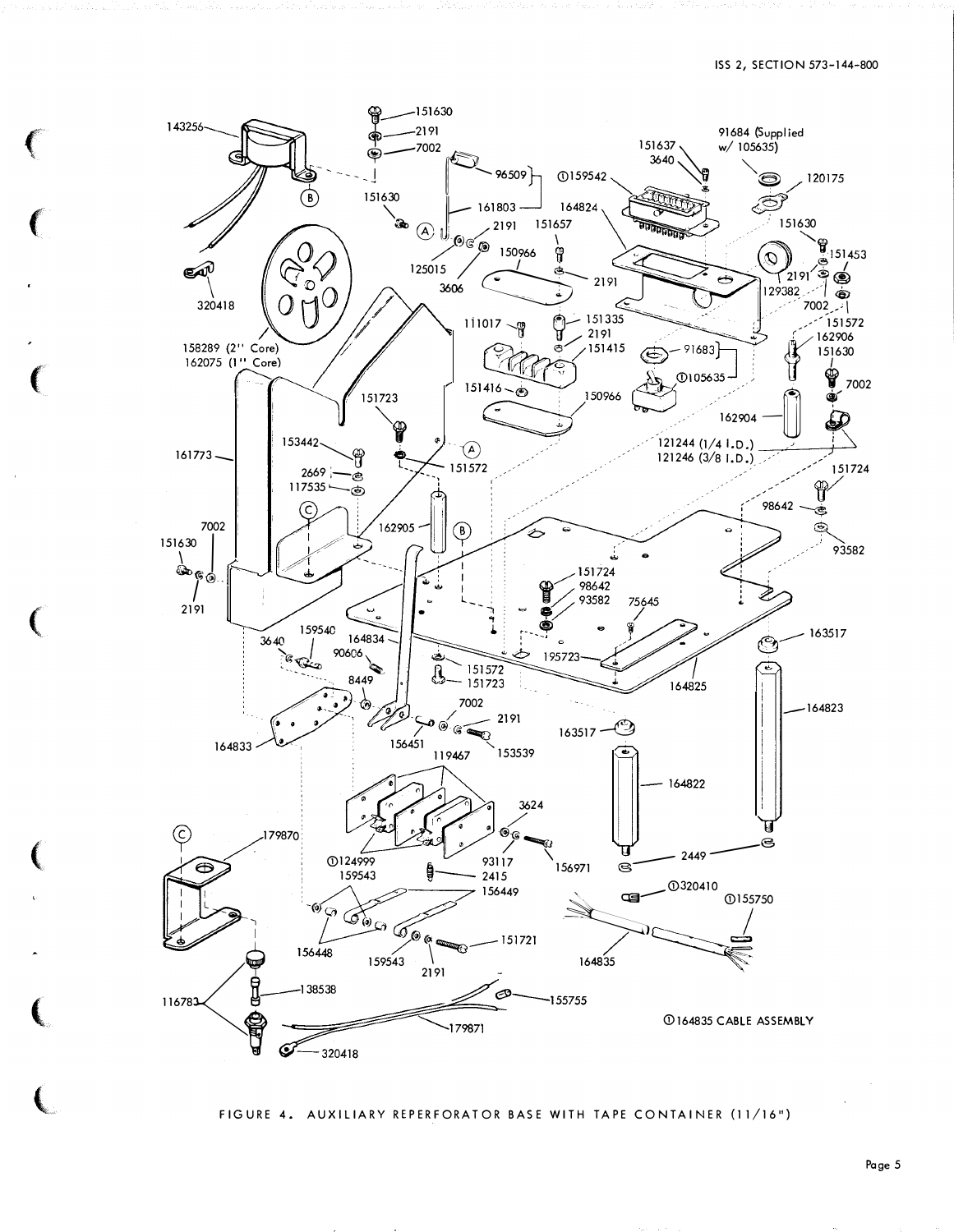

FIGURE 4. AUXILIARY REPERFORATOR BASE WITH TAPE CONTAINER (11/16")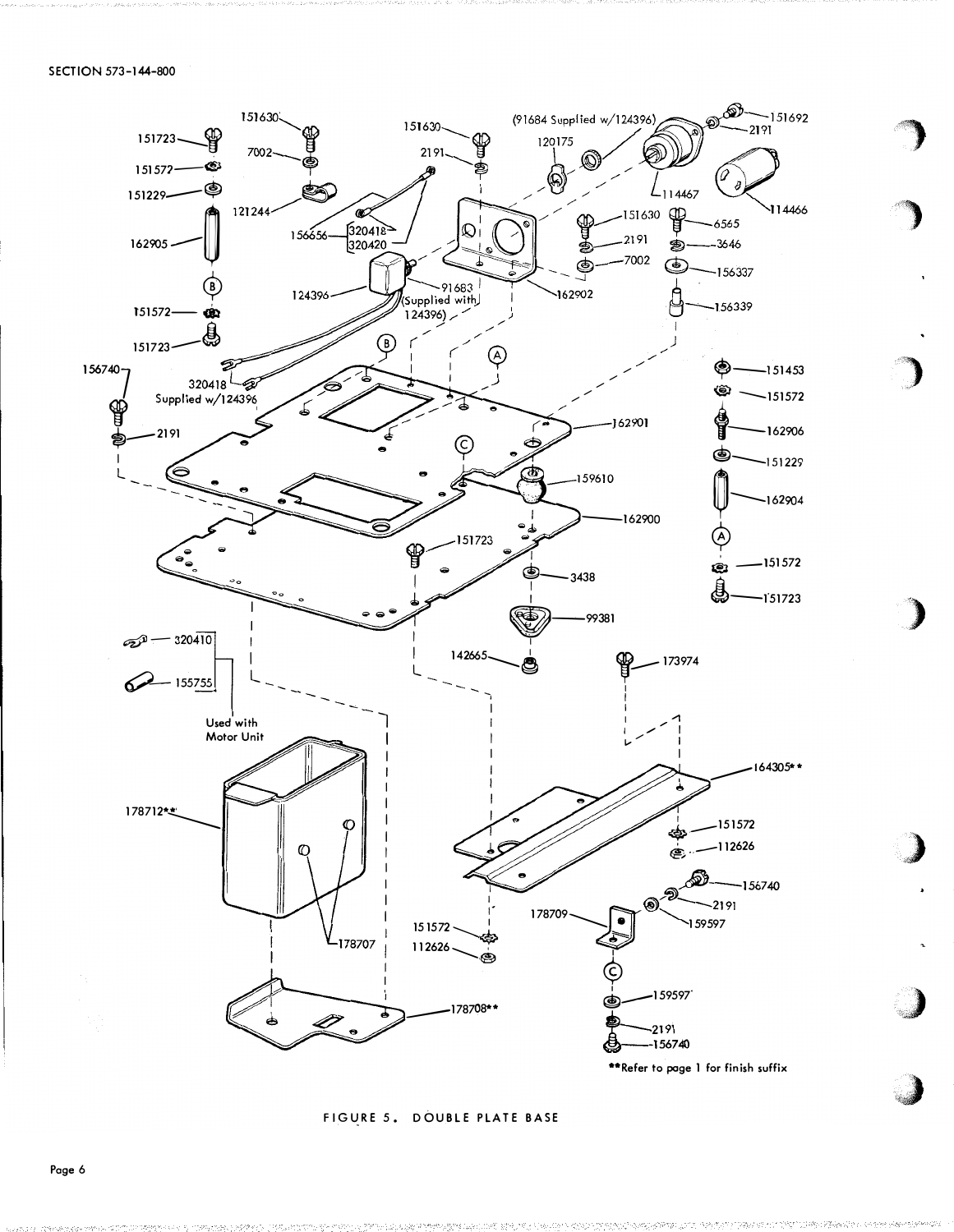

FIGURE 5. DOUBLE PLATE BASE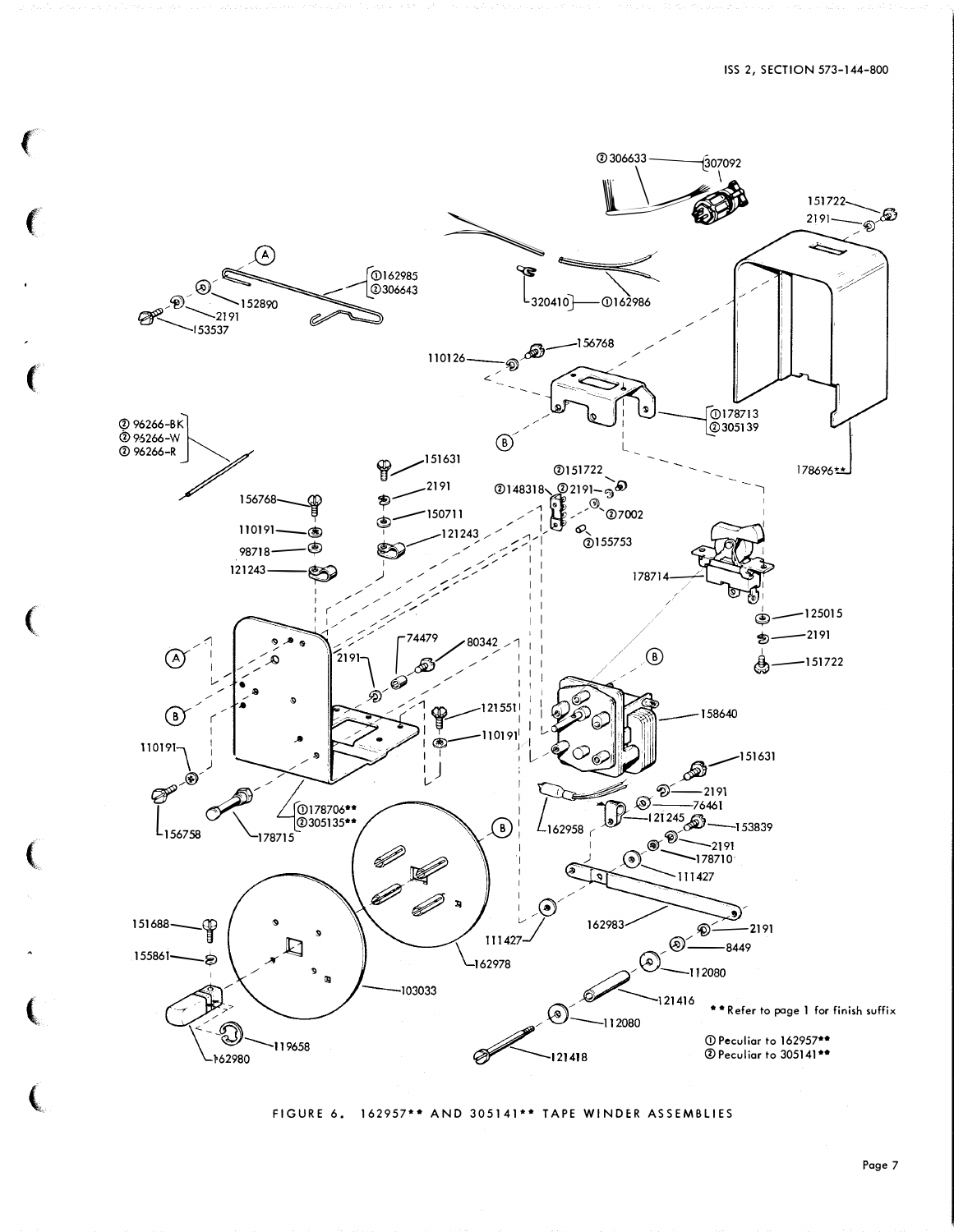

FIGURE 6. 162957\*\* AND 305141\*\* TAPE WINDER ASSEMBLIES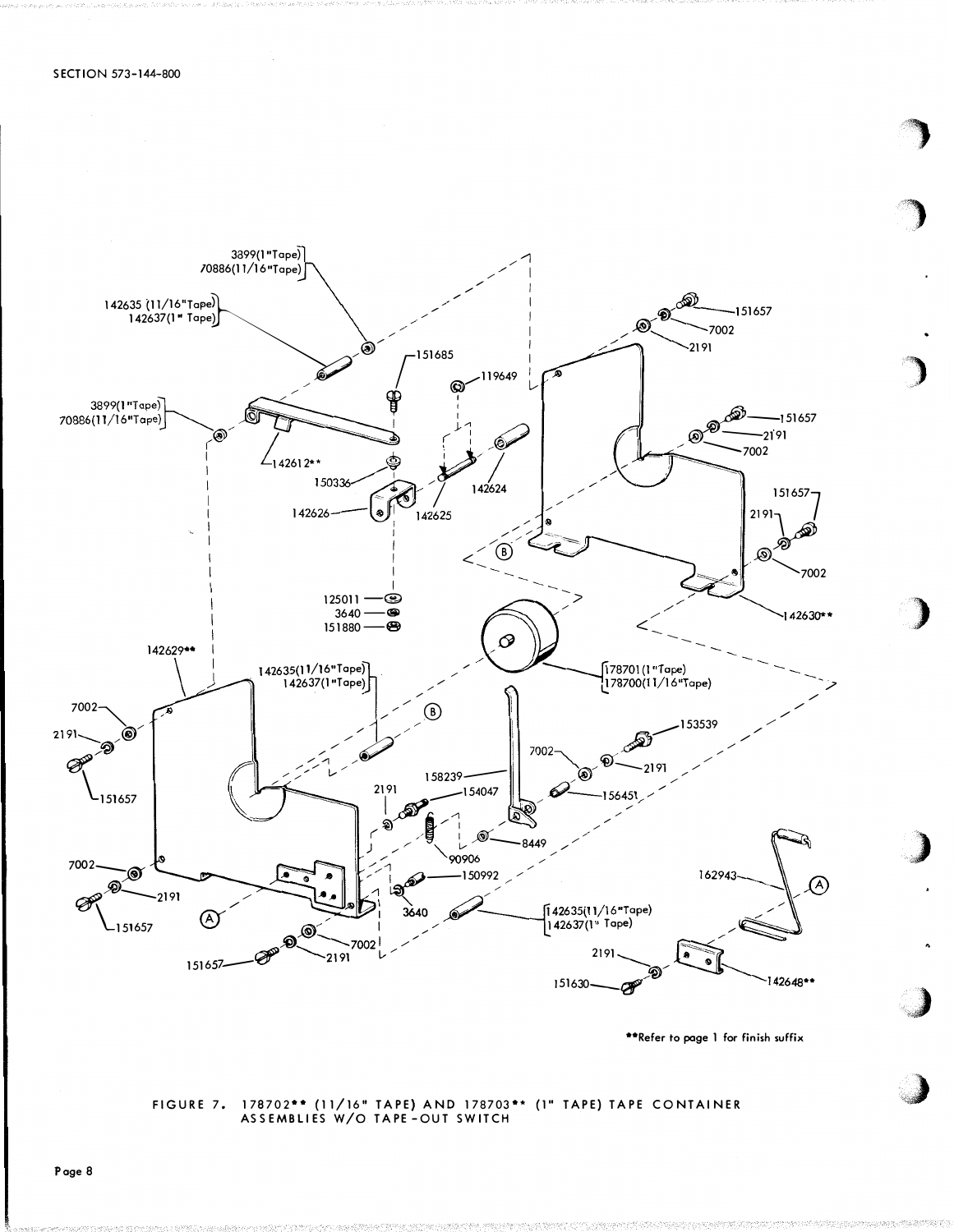

\*\*Refer to page 1 for finish suffix

FIGURE 7. 178702\*\* (11/16" TAPE) AND 178703\*\* (1" TAPE) TAPE CONTAINER<br>ASSEMBLIES W/O TAPE-OUT SWITCH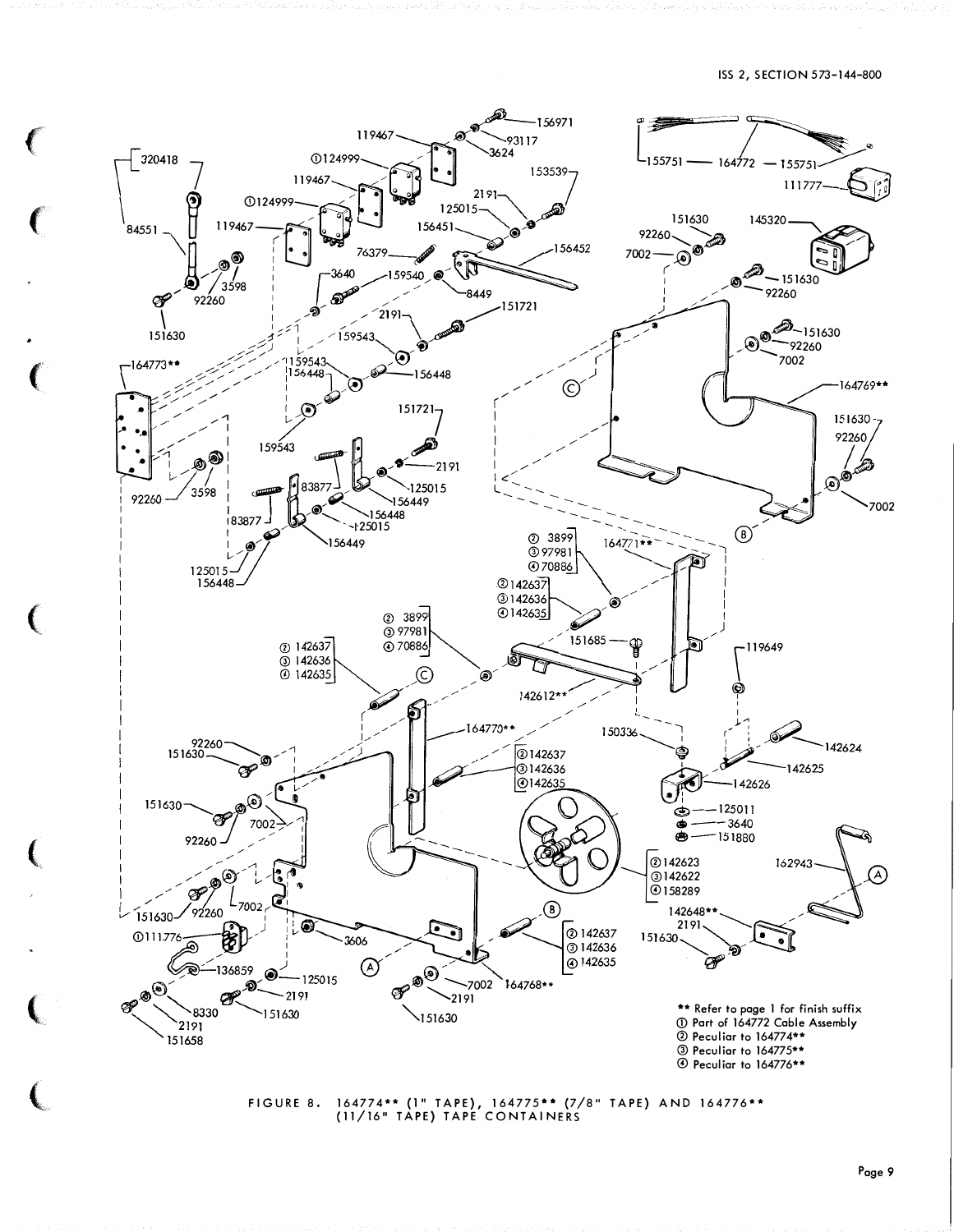### ISS 2, SECTION 573-144-800



FIGURE 8. 164774\*\* (1" TAPE), 164775\*\* (7/8" TAPE) AND 164776\*\*<br>(11/16" TAPE) TAPE CONTAINERS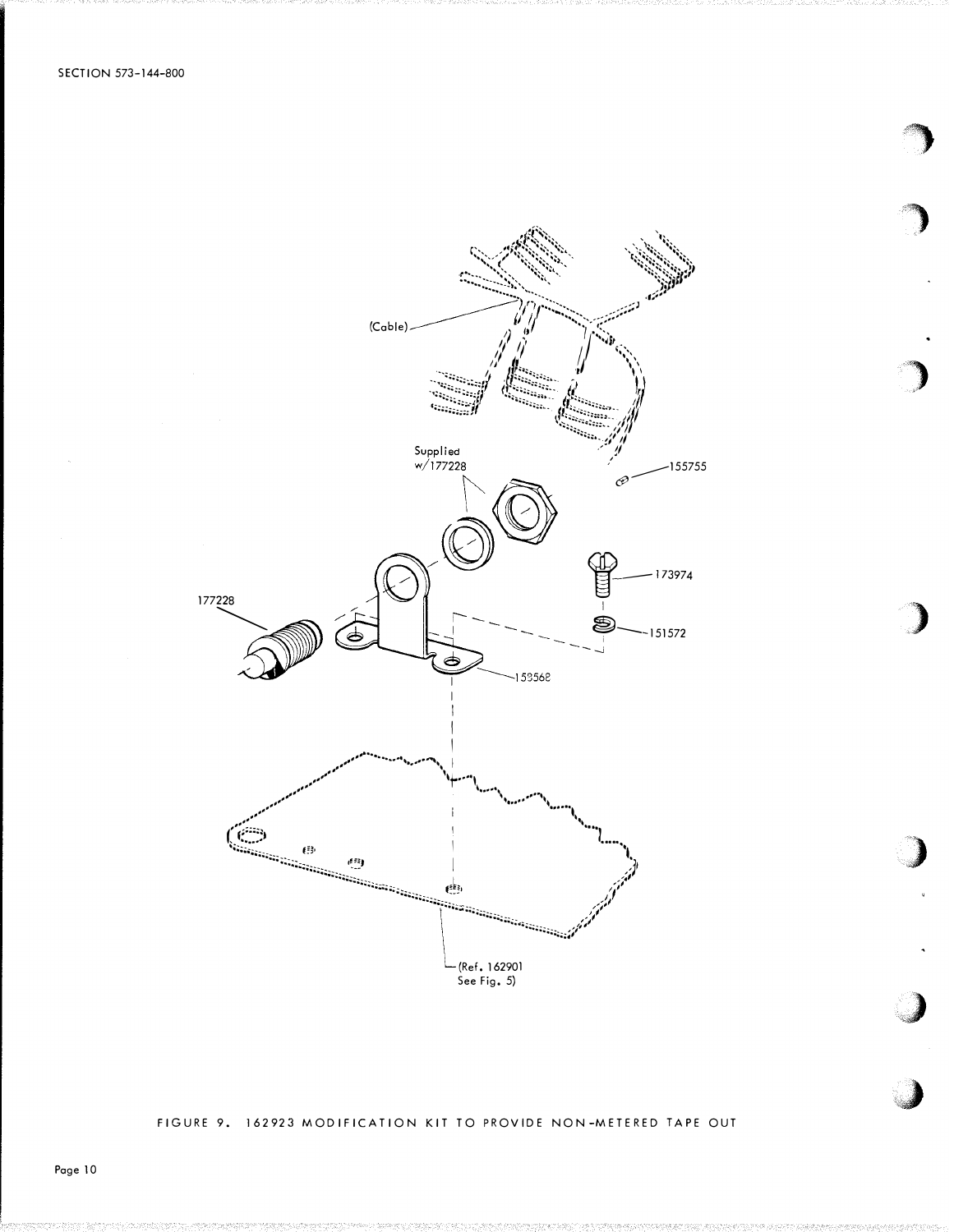

FIGURE 9. 162923 MODIFICATION KIT TO PROVIDE NON-METERED TAPE OUT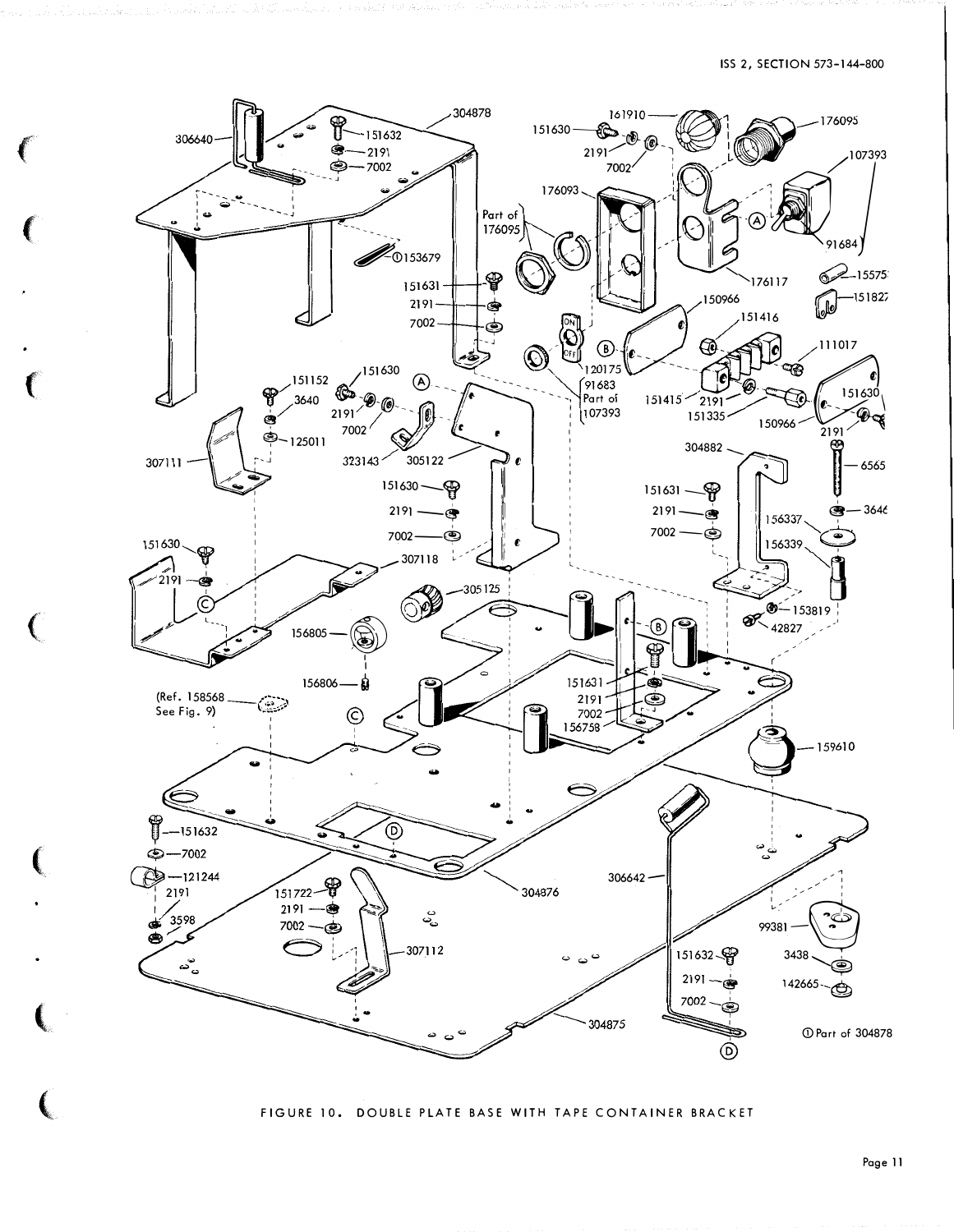

FIGURE 10. DOUBLE PLATE BASE WITH TAPE CONTAINER BRACKET

Page 11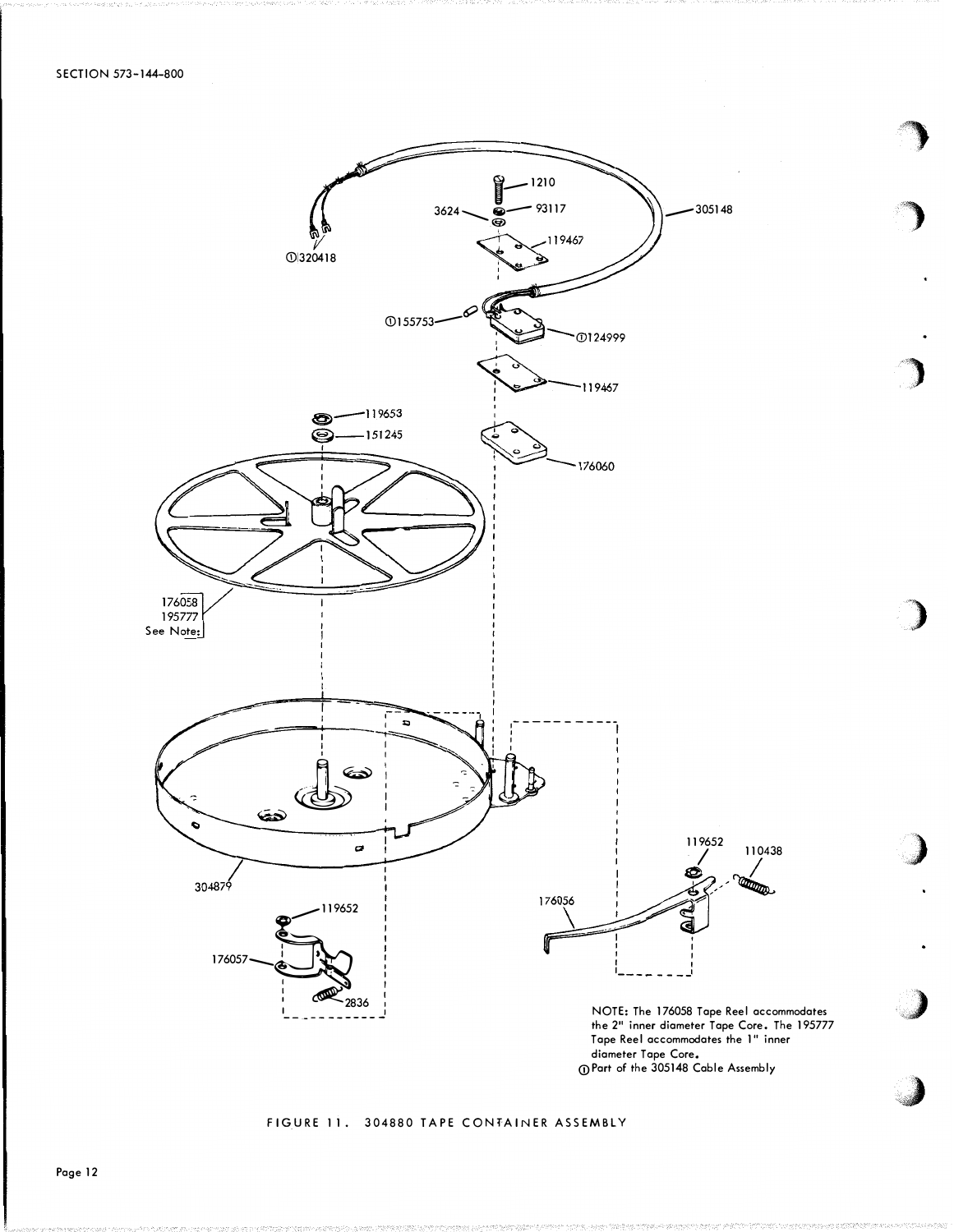

## FIGURE 11. 304880 TAPE CONFAINER ASSEMBLY

Page 12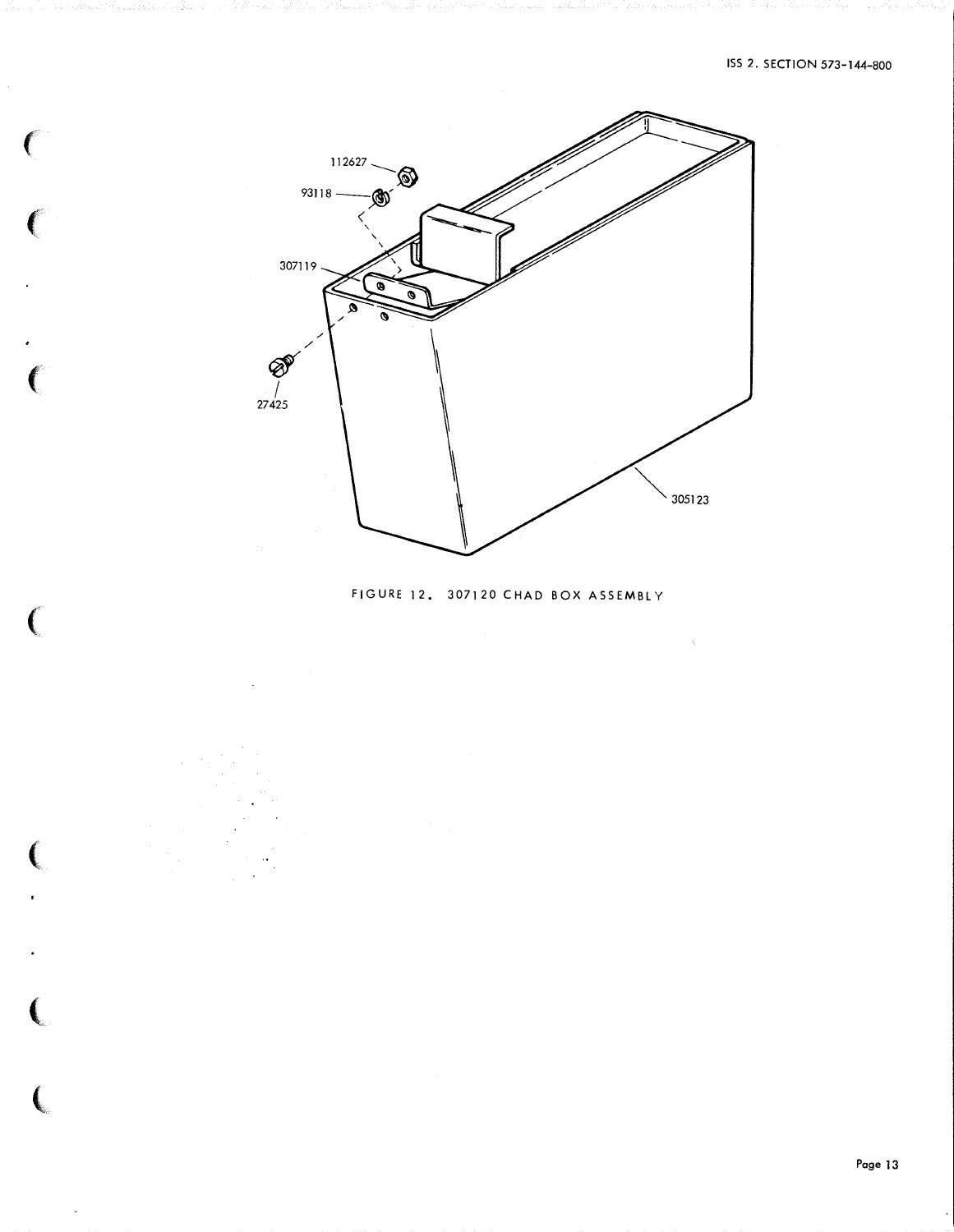

 $\big($ 

 $\big($ 

 $\big($ 

 $\big($ 

 $\big($ 

 $\overline{\mathbf{C}}$ 

# FIGURE 12. 307120 CHAD BOX ASSEMBLY

 $\chi$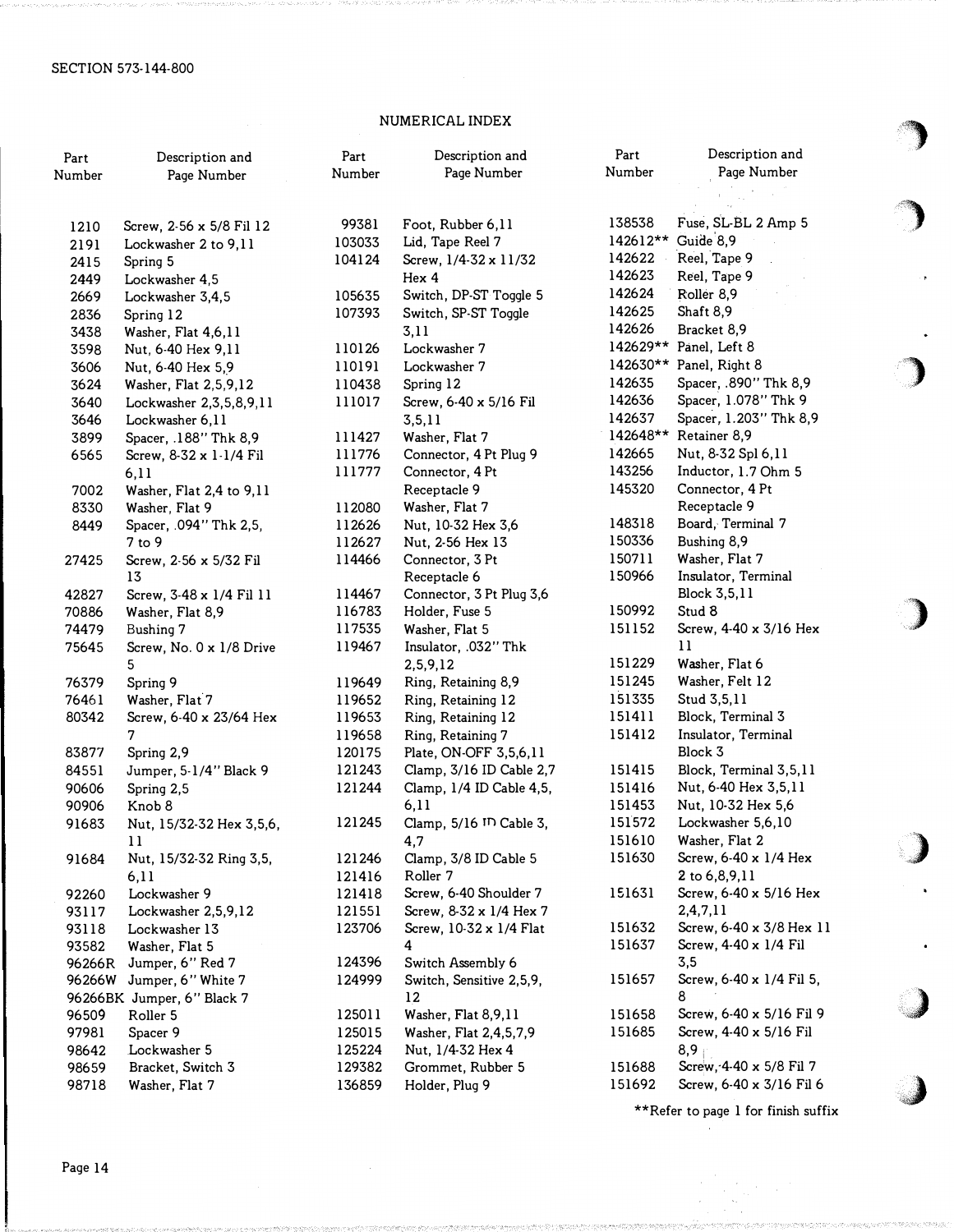# NUMERICAL INDEX

| Part   | Description and              | Part<br>Number | Description and<br>Page Number | Part<br>Number | Description and<br>Page Number | ℱ |
|--------|------------------------------|----------------|--------------------------------|----------------|--------------------------------|---|
| Number | Page Number                  |                |                                |                |                                |   |
|        |                              |                |                                |                |                                |   |
| 1210   | Screw, 2-56 x 5/8 Fil 12     | 99381          | Foot, Rubber 6,11              | 138538         | Fuse, SL-BL 2 Amp 5            |   |
| 2191   | Lockwasher 2 to 9,11         | 103033         | Lid, Tape Reel 7               | 142612**       | Guide 8,9                      |   |
| 2415   | Spring 5                     | 104124         | Screw, 1/4-32 x 11/32          | 142622         | Reel, Tape 9                   |   |
| 2449   | Lockwasher 4,5               |                | Hex 4                          | 142623         | Reel, Tape 9                   |   |
| 2669   | Lockwasher 3,4,5             | 105635         | Switch, DP-ST Toggle 5         | 142624         | Roller 8,9                     |   |
| 2836   | Spring 12                    | 107393         | Switch, SP-ST Toggle           | 142625         | Shaft 8,9                      |   |
| 3438   | Washer, Flat 4,6,11          |                | 3,11                           | 142626         | Bracket 8,9                    |   |
| 3598   | Nut, 6-40 Hex 9,11           | 110126         | Lockwasher 7                   |                | 142629** Panel, Left 8         |   |
| 3606   | Nut, 6-40 Hex 5,9            | 110191         | Lockwasher 7                   |                | 142630** Panel, Right 8        |   |
| 3624   | Washer, Flat 2,5,9,12        | 110438         | Spring 12                      | 142635         | Spacer, .890" Thk 8,9          |   |
| 3640   | Lockwasher 2, 3, 5, 8, 9, 11 | 111017         | Screw, 6-40 x 5/16 Fil         | 142636         | Spacer, 1.078" Thk 9           |   |
| 3646   | Lockwasher 6,11              |                | 3, 5, 11                       | 142637         | Spacer, 1.203" Thk 8,9         |   |
| 3899   | Spacer, .188" Thk 8,9        | 111427         | Washer, Flat 7                 | 142648**       | Retainer 8,9                   |   |
| 6565   | Screw, 8-32 x 1-1/4 Fil      | 111776         | Connector, 4 Pt Plug 9         | 142665         | Nut, 8-32 Spl 6,11             |   |
|        | 6,11                         | 111777         | Connector, 4 Pt                | 143256         | Inductor, 1.7 Ohm 5            |   |
| 7002   | Washer, Flat 2,4 to 9,11     |                | Receptacle 9                   | 145320         | Connector, 4 Pt                |   |
| 8330   | Washer, Flat 9               | 112080         | Washer, Flat 7                 |                | Receptacle 9                   |   |
| 8449   | Spacer, .094" Thk 2,5,       | 112626         | Nut, 10-32 Hex 3,6             | 148318         | Board, Terminal 7              |   |
|        | $7$ to $9$                   | 112627         | Nut, 2-56 Hex 13               | 150336         | Bushing 8,9                    |   |
| 27425  | Screw, 2-56 x 5/32 Fil       | 114466         | Connector, 3 Pt                | 150711         | Washer, Flat 7                 |   |
|        | 13                           |                | Receptacle 6                   | 150966         | Insulator, Terminal            |   |
| 42827  | Screw, 3-48 x 1/4 Fil 11     | 114467         | Connector, 3 Pt Plug 3,6       |                | Block 3,5,11                   |   |
| 70886  | Washer, Flat 8,9             | 116783         | Holder, Fuse 5                 | 150992         | Stud 8                         |   |
| 74479  | Bushing 7                    | 117535         | Washer, Flat 5                 | 151152         | Screw, 4-40 x 3/16 Hex         |   |
| 75645  | Screw, No. 0 x 1/8 Drive     | 119467         | Insulator, .032" Thk           |                | 11                             |   |
|        | 5                            |                | 2,5,9,12                       | 151229         | Washer, Flat 6                 |   |
| 76379  | Spring 9                     | 119649         | Ring, Retaining 8,9            | 151245         | Washer, Felt 12                |   |
| 76461  | Washer, Flat 7               | 119652         | Ring, Retaining 12             | 151335         | Stud 3,5,11                    |   |
| 80342  | Screw, 6-40 x 23/64 Hex      | 119653         | Ring, Retaining 12             | 151411         | Block, Terminal 3              |   |
|        | 7                            | 119658         | Ring, Retaining 7              | 151412         | Insulator, Terminal            |   |
| 83877  | Spring 2,9                   | 120175         | Plate, ON-OFF 3,5,6,11         |                | Block 3                        |   |
| 84551  | Jumper, 5-1/4" Black 9       | 121243         | Clamp, 3/16 ID Cable 2,7       | 151415         | Block, Terminal 3,5,11         |   |
| 90606  | Spring 2,5                   | 121244         | Clamp, 1/4 ID Cable 4,5,       | 151416         | Nut, 6-40 Hex 3,5,11           |   |
| 90906  | Knob 8                       |                | 6,11                           | 151453         | Nut, 10-32 Hex 5,6             |   |
| 91683  | Nut, 15/32-32 Hex 3,5,6,     | 121245         | Clamp, 5/16 ID Cable 3,        | 151572         | Lockwasher 5,6,10              |   |
|        | 11                           |                | 4,7                            | 151610         | Washer, Flat 2                 |   |
| 91684  | Nut, 15/32-32 Ring 3,5,      | 121246         | Clamp, 3/8 ID Cable 5          | 151630         | Screw, 6-40 x 1/4 Hex          |   |
|        | 6,11                         | 121416         | Roller 7                       |                | 2 to 6,8,9,11                  |   |
| 92260  | Lockwasher 9                 | 121418         | Screw, 6-40 Shoulder 7         | 151631         | Screw, 6-40 x 5/16 Hex         |   |
| 93117  | Lockwasher 2,5,9,12          | 121551         | Screw, 8-32 x 1/4 Hex 7        |                | 2,4,7,11                       |   |
| 93118  | Lockwasher 13                | 123706         | Screw, 10-32 x 1/4 Flat        | 151632         | Screw, 6-40 x 3/8 Hex 11       |   |
| 93582  | Washer, Flat 5               |                | 4                              | 151637         | Screw, 4-40 x 1/4 Fil          |   |
| 96266R | Jumper, 6" Red 7             | 124396         | Switch Assembly 6              |                | 3,5                            |   |
| 96266W | Jumper, 6" White 7           | 124999         | Switch, Sensitive 2,5,9,       | 151657         | Screw, 6-40 x 1/4 Fil 5,       |   |
|        | 96266BK Jumper, 6" Black 7   |                | 12                             |                | 8                              |   |
| 96509  | Roller 5                     | 125011         | Washer, Flat 8,9,11            | 151658         | Screw, 6-40 x 5/16 Fil 9       |   |
| 97981  | Spacer 9                     | 125015         | Washer, Flat 2,4,5,7,9         | 151685         | Screw, 4-40 x 5/16 Fil         |   |
| 98642  | Lockwasher 5                 | 125224         | Nut, 1/4-32 Hex 4              |                | $8,9 +$                        |   |
| 98659  | Bracket, Switch 3            | 129382         | Grommet, Rubber 5              | 151688         | Screw, 4-40 x 5/8 Fil 7        |   |
| 98718  | Washer, Flat 7               | 136859         | Holder, Plug 9                 | 151692         | Screw, 6-40 x 3/16 Fil 6       |   |

\*\*Refer to page 1 for finish suffix

•4)

 $\bigcup$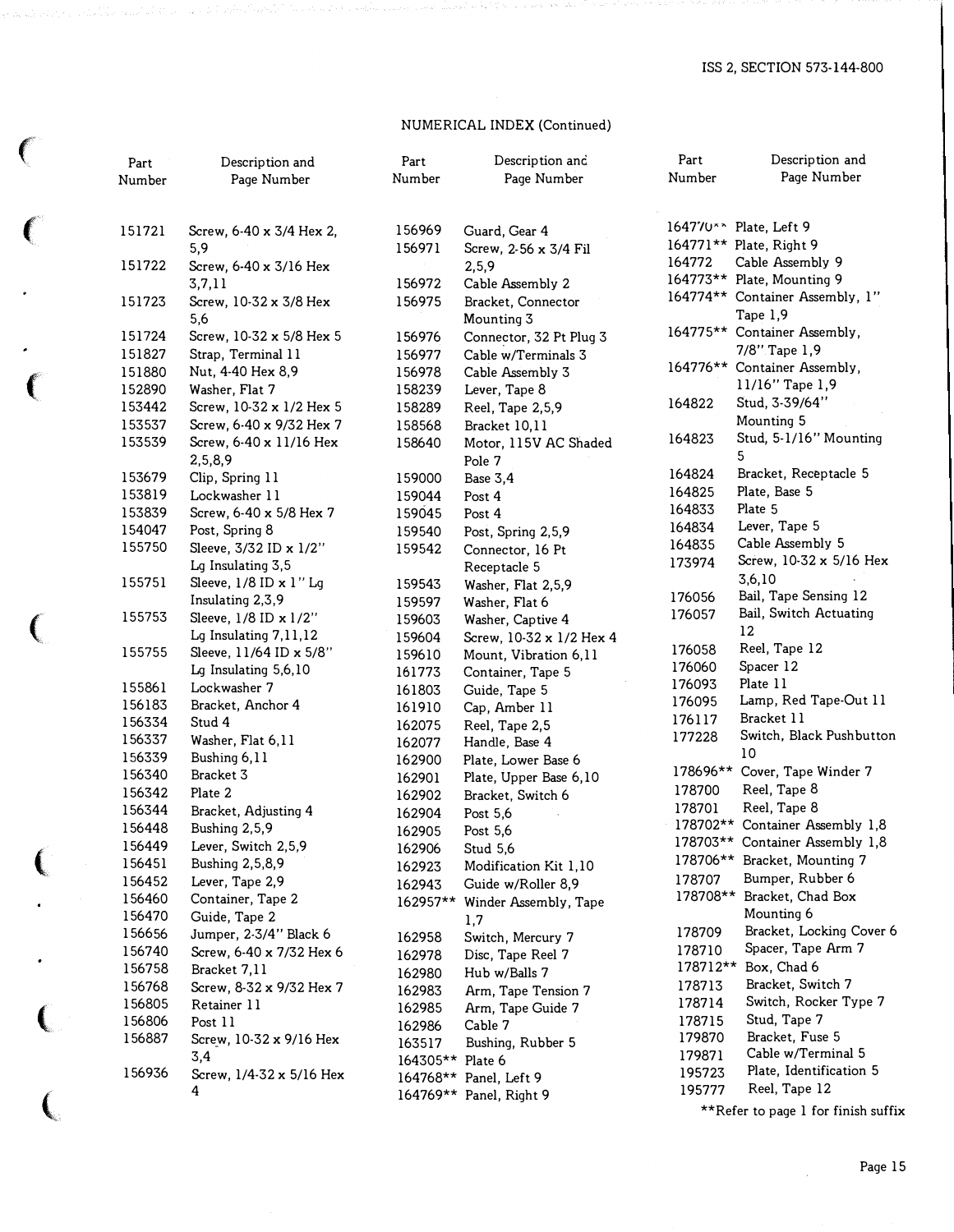## NUMERICAL INDEX (Continued)

| ₹.      | Part<br>Number | Description and<br>Page Number     | Part<br>Number   | Description and<br>Page Number   | Part<br>Number | Description and<br>Page Number              |
|---------|----------------|------------------------------------|------------------|----------------------------------|----------------|---------------------------------------------|
| $\big($ | 151721         | Screw, 6-40 x 3/4 Hex 2,           | 156969           | Guard, Gear 4                    |                | 164770** Plate, Left 9                      |
|         |                | 5,9                                | 156971           | Screw, 2-56 x 3/4 Fil            |                | 164771** Plate, Right 9                     |
|         | 151722         | Screw, 6-40 x 3/16 Hex             |                  | 2,5,9                            | 164772         | Cable Assembly 9                            |
|         |                | 3,7,11                             | 156972           | Cable Assembly 2                 |                | 164773** Plate, Mounting 9                  |
|         | 151723         | Screw, 10-32 x 3/8 Hex<br>5,6      | 156975           | Bracket, Connector<br>Mounting 3 |                | 164774** Container Assembly, 1"<br>Tape 1,9 |
|         | 151724         | Screw, 10-32 x 5/8 Hex 5           | 156976           | Connector, 32 Pt Plug 3          |                | 164775** Container Assembly,                |
|         | 151827         | Strap, Terminal 11                 | 156977           | Cable w/Terminals 3              |                | 7/8" Tape 1,9                               |
|         | 151880         | Nut, 4-40 Hex 8,9                  | 156978           | Cable Assembly 3                 |                | 164776** Container Assembly,                |
|         | 152890         | Washer, Flat 7                     | 158239           | Lever, Tape 8                    |                | 11/16" Tape 1,9                             |
|         | 153442         | Screw, 10-32 x 1/2 Hex 5           | 158289           | Reel, Tape 2,5,9                 | 164822         | Stud, 3-39/64"                              |
|         | 153537         | Screw, 6-40 x 9/32 Hex 7           | 158568           | Bracket 10,11                    |                | Mounting 5                                  |
|         | 153539         | Screw, 6-40 x 11/16 Hex<br>2,5,8,9 | 158640           | Motor, 115V AC Shaded<br>Pole 7  | 164823         | Stud, 5-1/16" Mounting<br>5                 |
|         | 153679         | Clip, Spring 11                    | 159000           | Base 3,4                         | 164824         | Bracket, Receptacle 5                       |
|         | 153819         | Lockwasher 11                      | 159044           | Post 4                           | 164825         | Plate, Base 5                               |
|         | 153839         | Screw, 6-40 x 5/8 Hex 7            | 159045           | Post 4                           | 164833         | Plate 5                                     |
|         | 154047         | Post, Spring 8                     | 159540           | Post, Spring 2,5,9               | 164834         | Lever, Tape 5                               |
|         | 155750         | Sleeve, 3/32 ID x 1/2"             | 159542           | Connector, 16 Pt                 | 164835         | Cable Assembly 5                            |
|         |                | Lg Insulating 3,5                  |                  | Receptacle 5                     | 173974         | Screw, 10-32 x 5/16 Hex                     |
|         | 155751         | Sleeve, 1/8 ID x 1" Lg             | 159543           | Washer, Flat 2,5,9               |                | 3,6,10                                      |
|         |                | Insulating 2,3,9                   | 159597           | Washer, Flat 6                   | 176056         | Bail, Tape Sensing 12                       |
|         | 155753         | Sleeve, 1/8 ID x 1/2"              | 159603           | Washer, Captive 4                | 176057         | Bail, Switch Actuating                      |
|         |                | Lg Insulating 7,11,12              | 159604           | Screw, 10-32 x 1/2 Hex 4         |                | 12                                          |
|         | 155755         | Sleeve, 11/64 ID x 5/8"            | 159610           | Mount, Vibration 6,11            | 176058         | Reel, Tape 12                               |
|         |                | Lg Insulating 5,6,10               | 161773           | Container, Tape 5                | 176060         | Spacer 12                                   |
|         | 155861         | Lockwasher 7                       | 161803           | Guide, Tape 5                    | 176093         | Plate 11                                    |
|         | 156183         | Bracket, Anchor 4                  | 161910           | Cap, Amber 11                    | 176095         | Lamp, Red Tape-Out 11                       |
|         | 156334         | Stud 4                             | 162075           | Reel, Tape 2,5                   | 176117         | Bracket 11                                  |
|         | 156337         | Washer, Flat 6,11                  | 162077           | Handle, Base 4                   | 177228         | Switch, Black Pushbutton                    |
|         | 156339         | Bushing 6,11                       | 162900           | Plate, Lower Base 6              |                | 10                                          |
|         | 156340         | Bracket 3                          | 162901           | Plate, Upper Base 6,10           | 178696**       | Cover, Tape Winder 7                        |
|         | 156342         | Plate 2                            | 162902           | Bracket, Switch 6                | 178700         | Reel, Tape 8                                |
|         | 156344         | Bracket, Adjusting 4               | 162904           | Post 5,6                         | 178701         | Reel, Tape 8                                |
|         | 156448         | Bushing 2,5,9                      | 162905           | Post 5,6                         | 178702**       | Container Assembly 1,8                      |
|         | 156449         | Lever, Switch 2,5,9                | 162906           | Stud 5,6                         |                | 178703** Container Assembly 1,8             |
|         | 156451         | Bushing 2,5,8,9                    | 162923           | Modification Kit 1,10            |                | 178706** Bracket, Mounting 7                |
|         | 156452         | Lever, Tape 2,9                    | 162943           | Guide w/Roller 8,9               | 178707         | Bumper, Rubber 6                            |
|         | 156460         | Container, Tape 2                  | 162957**         | Winder Assembly, Tape            |                | 178708** Bracket, Chad Box                  |
|         | 156470         | Guide, Tape 2                      |                  | 1,7                              |                | Mounting 6                                  |
|         | 156656         | Jumper, 2-3/4" Black 6             | 162958           | Switch, Mercury 7                | 178709         | Bracket, Locking Cover 6                    |
|         | 156740         | Screw, 6-40 x 7/32 Hex 6           | 162978           | Disc, Tape Reel 7                | 178710         | Spacer, Tape Arm 7                          |
|         | 156758         | Bracket 7,11                       | 162980           | Hub w/Balls 7                    |                | 178712** Box, Chad 6                        |
|         | 156768         | Screw, 8-32 x 9/32 Hex 7           | 162983           | Arm, Tape Tension 7              | 178713         | Bracket, Switch 7                           |
|         | 156805         | Retainer 11                        | 162985           | Arm, Tape Guide 7                | 178714         | Switch, Rocker Type 7                       |
|         | 156806         | Post 11                            | 162986           | Cable 7                          | 178715         | Stud, Tape 7                                |
|         | 156887         | Screw, 10-32 x 9/16 Hex            | 163517           | Bushing, Rubber 5                | 179870         | Bracket, Fuse 5                             |
|         |                | 3,4                                | 164305** Plate 6 |                                  | 179871         | Cable w/Terminal 5                          |
|         | 156936         | Screw, 1/4-32 x 5/16 Hex           |                  | 164768** Panel, Left 9           | 195723         | Plate, Identification 5                     |
|         |                | 4                                  |                  | 164769** Panel, Right 9          | 195777         | Reel, Tape 12                               |
|         |                |                                    |                  |                                  |                | **Refer to page 1 for finish suffix         |

(

 $\gamma$ 

 $\big($ 

 $\ddot{\phantom{0}}$